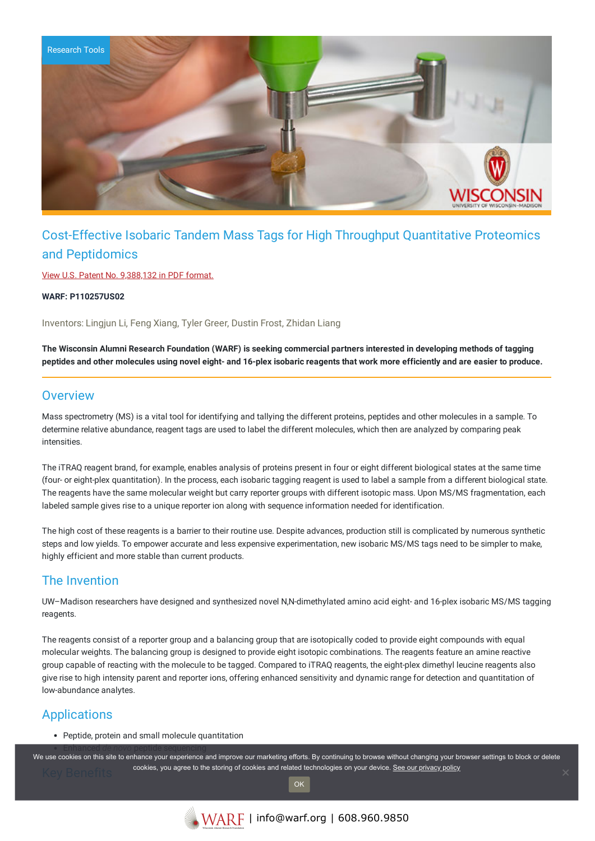

# Cost-Effective Isobaric Tandem Mass Tags for High Throughput Quantitative Proteomics and Peptidomics

View U.S. Patent No. [9,388,132](https://www.warf.org/wp-content/uploads/technologies/ipstatus/P110257US02.PDF) in PDF format.

**WARF: P110257US02**

Inventors: Lingjun Li, Feng Xiang, Tyler Greer, Dustin Frost, Zhidan Liang

The Wisconsin Alumni Research Foundation (WARF) is seeking commercial partners interested in developing methods of tagging peptides and other molecules using novel eight- and 16-plex isobaric reagents that work more efficiently and are easier to produce.

### **Overview**

Mass spectrometry (MS) is a vital tool for identifying and tallying the different proteins, peptides and other molecules in a sample. To determine relative abundance, reagent tags are used to label the different molecules, which then are analyzed by comparing peak intensities.

The iTRAQ reagent brand, for example, enables analysis of proteins present in four or eight different biological states at the same time (four- or eight-plex quantitation). In the process, each isobaric tagging reagent is used to label a sample from a different biological state. The reagents have the same molecular weight but carry reporter groups with different isotopic mass. Upon MS/MS fragmentation, each labeled sample gives rise to a unique reporter ion along with sequence information needed for identification.

The high cost of these reagents is a barrier to their routine use. Despite advances, production still is complicated by numerous synthetic steps and low yields. To empower accurate and less expensive experimentation, new isobaric MS/MS tags need to be simpler to make, highly efficient and more stable than current products.

## The Invention

UW–Madison researchers have designed and synthesized novel N,N-dimethylated amino acid eight- and 16-plex isobaric MS/MS tagging reagents.

The reagents consist of a reporter group and a balancing group that are isotopically coded to provide eight compounds with equal molecular weights. The balancing group is designed to provide eight isotopic combinations. The reagents feature an amine reactive group capable of reacting with the molecule to be tagged. Compared to iTRAQ reagents, the eight-plex dimethyl leucine reagents also give rise to high intensity parent and reporter ions, offering enhanced sensitivity and dynamic range for detection and quantitation of low-abundance analytes.

### Applications

Peptide, protein and small molecule quantitation

We use cookies on this site to enhance your experience and improve our marketing efforts. By continuing to browse without changing your browser settings to block or delete cookies, you agree to the storing of cookies and related technologies on your device. [See our privacy policy](https://www.warf.org/privacy-policy/)